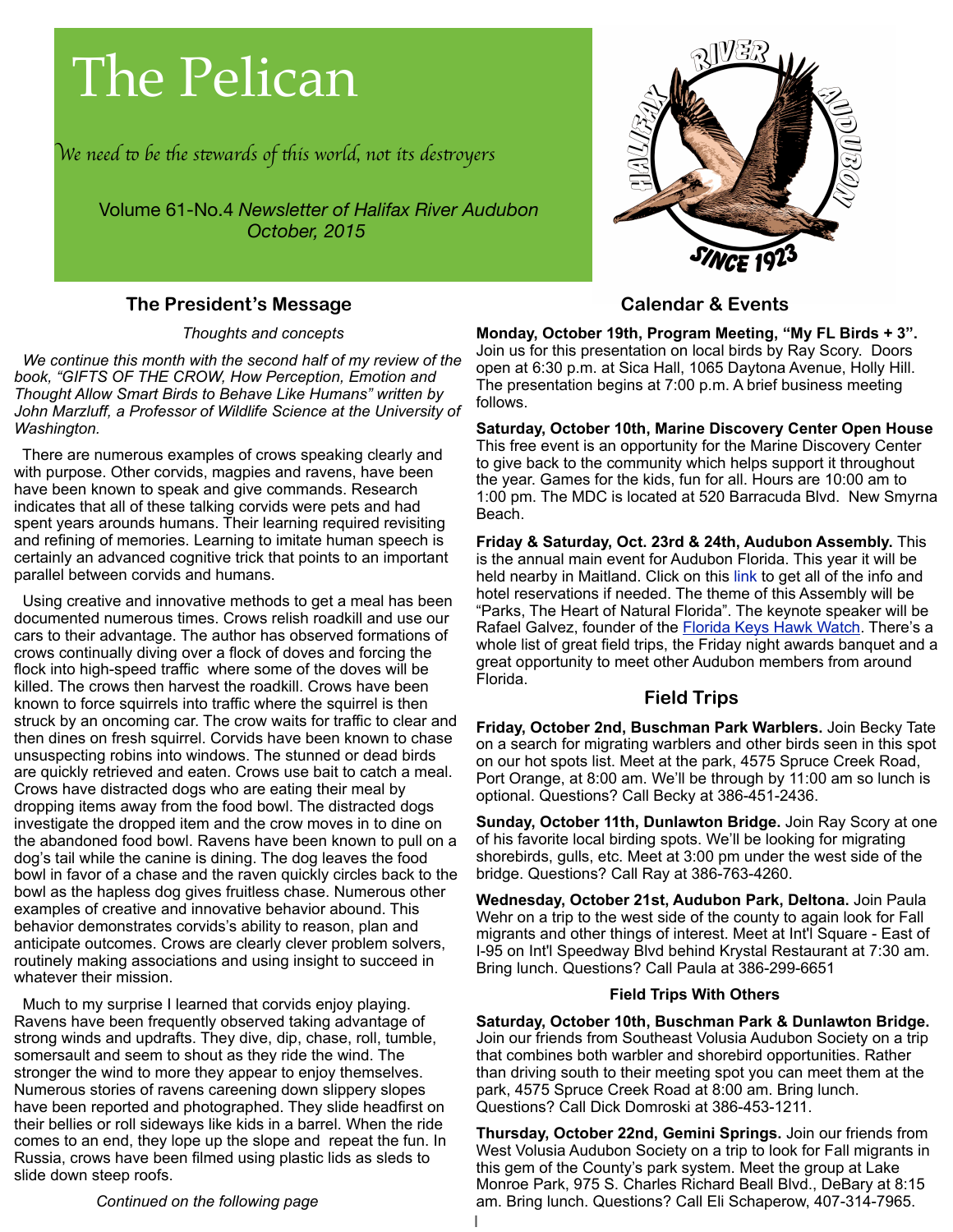# The Pelican

W*e need* " *be* #*e s*\$*wards of* #*is world, not its des*%*oyer*s

Volume 61-No.4 *Newsletter of Halifax River Audubon October, 2015*

#### **The President's Message**

*Thoughts and concepts*

 *We continue this month with the second half of my review of the book, "GIFTS OF THE CROW, How Perception, Emotion and Thought Allow Smart Birds to Behave Like Humans" written by John Marzluff, a Professor of Wildlife Science at the University of Washington.*

 There are numerous examples of crows speaking clearly and with purpose. Other corvids, magpies and ravens, have been have been known to speak and give commands. Research indicates that all of these talking corvids were pets and had spent years arounds humans. Their learning required revisiting and refining of memories. Learning to imitate human speech is certainly an advanced cognitive trick that points to an important parallel between corvids and humans.

 Using creative and innovative methods to get a meal has been documented numerous times. Crows relish roadkill and use our cars to their advantage. The author has observed formations of crows continually diving over a flock of doves and forcing the flock into high-speed traffic where some of the doves will be killed. The crows then harvest the roadkill. Crows have been known to force squirrels into traffic where the squirrel is then struck by an oncoming car. The crow waits for traffic to clear and then dines on fresh squirrel. Corvids have been known to chase unsuspecting robins into windows. The stunned or dead birds are quickly retrieved and eaten. Crows use bait to catch a meal. Crows have distracted dogs who are eating their meal by dropping items away from the food bowl. The distracted dogs investigate the dropped item and the crow moves in to dine on the abandoned food bowl. Ravens have been known to pull on a dog's tail while the canine is dining. The dog leaves the food bowl in favor of a chase and the raven quickly circles back to the bowl as the hapless dog gives fruitless chase. Numerous other examples of creative and innovative behavior abound. This behavior demonstrates corvids's ability to reason, plan and anticipate outcomes. Crows are clearly clever problem solvers, routinely making associations and using insight to succeed in whatever their mission.

 Much to my surprise I learned that corvids enjoy playing. Ravens have been frequently observed taking advantage of strong winds and updrafts. They dive, dip, chase, roll, tumble, somersault and seem to shout as they ride the wind. The stronger the wind to more they appear to enjoy themselves. Numerous stories of ravens careening down slippery slopes have been reported and photographed. They slide headfirst on their bellies or roll sideways like kids in a barrel. When the ride comes to an end, they lope up the slope and repeat the fun. In Russia, crows have been filmed using plastic lids as sleds to slide down steep roofs.

*Continued on the following page*



#### **Calendar & Events**

**Monday, October 19th, Program Meeting, "My FL Birds + 3".**  Join us for this presentation on local birds by Ray Scory. Doors open at 6:30 p.m. at Sica Hall, 1065 Daytona Avenue, Holly Hill. The presentation begins at 7:00 p.m. A brief business meeting follows.

**Saturday, October 10th, Marine Discovery Center Open House**  This free event is an opportunity for the Marine Discovery Center to give back to the community which helps support it throughout the year. Games for the kids, fun for all. Hours are 10:00 am to 1:00 pm. The MDC is located at 520 Barracuda Blvd. New Smyrna Beach.

**Friday & Saturday, Oct. 23rd & 24th, Audubon Assembly.** This is the annual main event for Audubon Florida. This year it will be held nearby in Maitland. Click on this link to get all of the info and hotel reservations if needed. The theme of this Assembly will be "Parks, The Heart of Natural Florida". The keynote speaker will be Rafael Galvez, founder of the **Florida Keys Hawk Watch.** There's a whole list of great field trips, the Friday night awards banquet and a great opportunity to meet other Audubon members from around Florida.

#### **Field Trips**

**Friday, October 2nd, Buschman Park Warblers.** Join Becky Tate on a search for migrating warblers and other birds seen in this spot on our hot spots list. Meet at the park, 4575 Spruce Creek Road, Port Orange, at 8:00 am. We'll be through by 11:00 am so lunch is optional. Questions? Call Becky at 386-451-2436.

**Sunday, October 11th, Dunlawton Bridge.** Join Ray Scory at one of his favorite local birding spots. We'll be looking for migrating shorebirds, gulls, etc. Meet at 3:00 pm under the west side of the bridge. Questions? Call Ray at 386-763-4260.

**Wednesday, October 21st, Audubon Park, Deltona.** Join Paula Wehr on a trip to the west side of the county to again look for Fall migrants and other things of interest. Meet at Int'l Square - East of I-95 on Int'l Speedway Blvd behind Krystal Restaurant at 7:30 am. Bring lunch. Questions? Call Paula at 386-299-6651

#### **Field Trips With Others**

**Saturday, October 10th, Buschman Park & Dunlawton Bridge.**  Join our friends from Southeast Volusia Audubon Society on a trip that combines both warbler and shorebird opportunities. Rather than driving south to their meeting spot you can meet them at the park, 4575 Spruce Creek Road at 8:00 am. Bring lunch. Questions? Call Dick Domroski at 386-453-1211.

**Thursday, October 22nd, Gemini Springs.** Join our friends from West Volusia Audubon Society on a trip to look for Fall migrants in this gem of the County's park system. Meet the group at Lake Monroe Park, 975 S. Charles Richard Beall Blvd., DeBary at 8:15 am. Bring lunch. Questions? Call Eli Schaperow, 407-314-7965.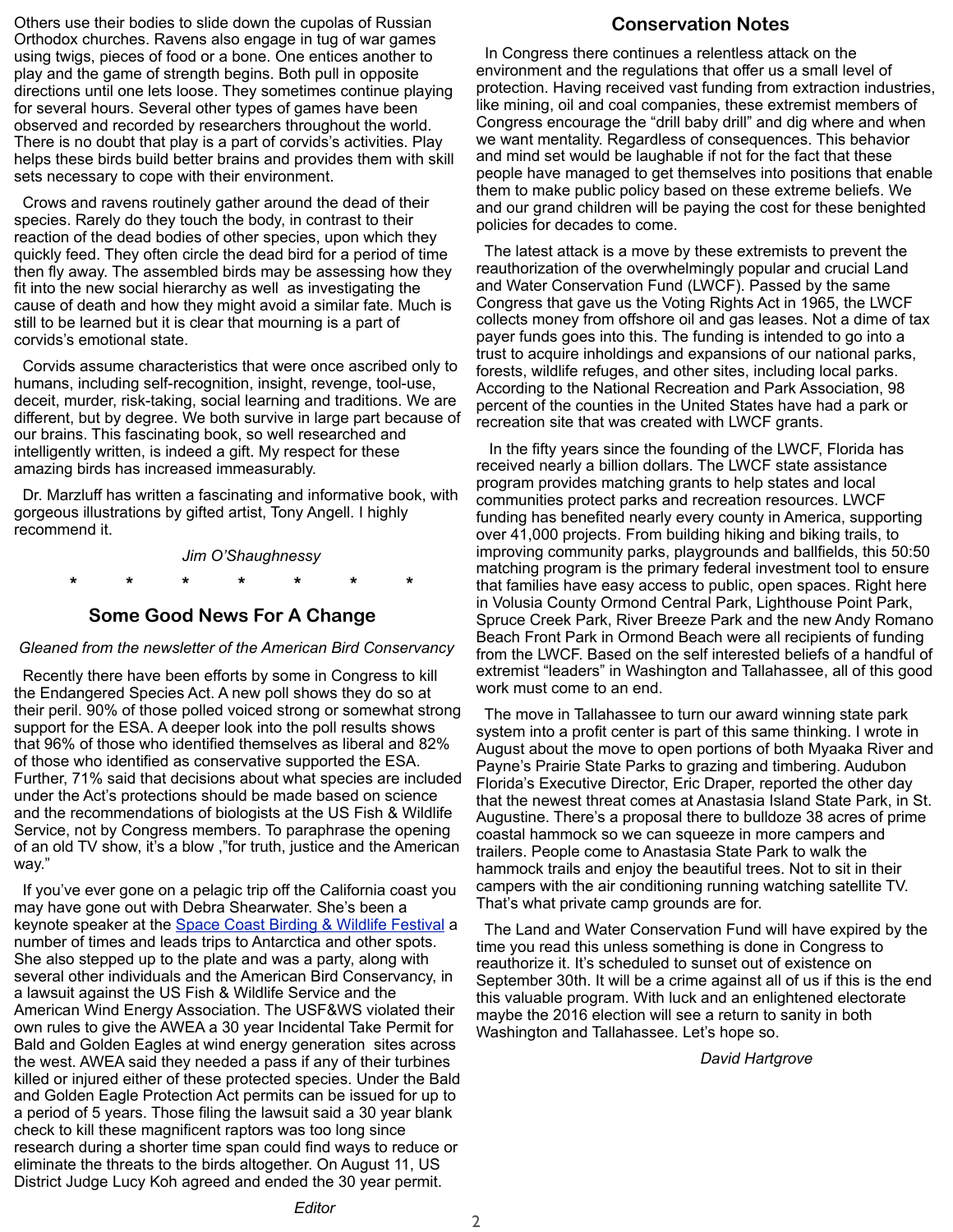Others use their bodies to slide down the cupolas of Russian Orthodox churches. Ravens also engage in tug of war games using twigs, pieces of food or a bone. One entices another to play and the game of strength begins. Both pull in opposite directions until one lets loose. They sometimes continue playing for several hours. Several other types of games have been observed and recorded by researchers throughout the world. There is no doubt that play is a part of corvids's activities. Play helps these birds build better brains and provides them with skill sets necessary to cope with their environment.

 Crows and ravens routinely gather around the dead of their species. Rarely do they touch the body, in contrast to their reaction of the dead bodies of other species, upon which they quickly feed. They often circle the dead bird for a period of time then fly away. The assembled birds may be assessing how they fit into the new social hierarchy as well as investigating the cause of death and how they might avoid a similar fate. Much is still to be learned but it is clear that mourning is a part of corvids's emotional state.

 Corvids assume characteristics that were once ascribed only to humans, including self-recognition, insight, revenge, tool-use, deceit, murder, risk-taking, social learning and traditions. We are different, but by degree. We both survive in large part because of our brains. This fascinating book, so well researched and intelligently written, is indeed a gift. My respect for these amazing birds has increased immeasurably.

 Dr. Marzluff has written a fascinating and informative book, with gorgeous illustrations by gifted artist, Tony Angell. I highly recommend it.

*Jim O'Shaughnessy*

 **\* \* \* \* \* \* \***

#### **Some Good News For A Change**

#### *Gleaned from the newsletter of the American Bird Conservancy*

 Recently there have been efforts by some in Congress to kill the Endangered Species Act. A new poll shows they do so at their peril. 90% of those polled voiced strong or somewhat strong support for the ESA. A deeper look into the poll results shows that 96% of those who identified themselves as liberal and 82% of those who identified as conservative supported the ESA. Further, 71% said that decisions about what species are included under the Act's protections should be made based on science and the recommendations of biologists at the US Fish & Wildlife Service, not by Congress members. To paraphrase the opening of an old TV show, it's a blow ,"for truth, justice and the American way."

 If you've ever gone on a pelagic trip off the California coast you may have gone out with Debra Shearwater. She's been a keynote speaker at the [Space Coast Birding & Wildlife Festival](http://www.spacecoastbirdingandwildlifefestival.org) a number of times and leads trips to Antarctica and other spots. She also stepped up to the plate and was a party, along with several other individuals and the American Bird Conservancy, in a lawsuit against the US Fish & Wildlife Service and the American Wind Energy Association. The USF&WS violated their own rules to give the AWEA a 30 year Incidental Take Permit for Bald and Golden Eagles at wind energy generation sites across the west. AWEA said they needed a pass if any of their turbines killed or injured either of these protected species. Under the Bald and Golden Eagle Protection Act permits can be issued for up to a period of 5 years. Those filing the lawsuit said a 30 year blank check to kill these magnificent raptors was too long since research during a shorter time span could find ways to reduce or eliminate the threats to the birds altogether. On August 11, US District Judge Lucy Koh agreed and ended the 30 year permit.

#### **Conservation Notes**

 In Congress there continues a relentless attack on the environment and the regulations that offer us a small level of protection. Having received vast funding from extraction industries, like mining, oil and coal companies, these extremist members of Congress encourage the "drill baby drill" and dig where and when we want mentality. Regardless of consequences. This behavior and mind set would be laughable if not for the fact that these people have managed to get themselves into positions that enable them to make public policy based on these extreme beliefs. We and our grand children will be paying the cost for these benighted policies for decades to come.

 The latest attack is a move by these extremists to prevent the reauthorization of the overwhelmingly popular and crucial Land and Water Conservation Fund (LWCF). Passed by the same Congress that gave us the Voting Rights Act in 1965, the LWCF collects money from offshore oil and gas leases. Not a dime of tax payer funds goes into this. The funding is intended to go into a trust to acquire inholdings and expansions of our national parks, forests, wildlife refuges, and other sites, including local parks. According to the National Recreation and Park Association, 98 percent of the counties in the United States have had a park or recreation site that was created with LWCF grants.

 In the fifty years since the founding of the LWCF, Florida has received nearly a billion dollars. The LWCF state assistance program provides matching grants to help states and local communities protect parks and recreation resources. LWCF funding has benefited nearly every county in America, supporting over 41,000 projects. From building hiking and biking trails, to improving community parks, playgrounds and ballfields, this 50:50 matching program is the primary federal investment tool to ensure that families have easy access to public, open spaces. Right here in Volusia County Ormond Central Park, Lighthouse Point Park, Spruce Creek Park, River Breeze Park and the new Andy Romano Beach Front Park in Ormond Beach were all recipients of funding from the LWCF. Based on the self interested beliefs of a handful of extremist "leaders" in Washington and Tallahassee, all of this good work must come to an end.

 The move in Tallahassee to turn our award winning state park system into a profit center is part of this same thinking. I wrote in August about the move to open portions of both Myaaka River and Payne's Prairie State Parks to grazing and timbering. Audubon Florida's Executive Director, Eric Draper, reported the other day that the newest threat comes at Anastasia Island State Park, in St. Augustine. There's a proposal there to bulldoze 38 acres of prime coastal hammock so we can squeeze in more campers and trailers. People come to Anastasia State Park to walk the hammock trails and enjoy the beautiful trees. Not to sit in their campers with the air conditioning running watching satellite TV. That's what private camp grounds are for.

 The Land and Water Conservation Fund will have expired by the time you read this unless something is done in Congress to reauthorize it. It's scheduled to sunset out of existence on September 30th. It will be a crime against all of us if this is the end this valuable program. With luck and an enlightened electorate maybe the 2016 election will see a return to sanity in both Washington and Tallahassee. Let's hope so.

*David Hartgrove*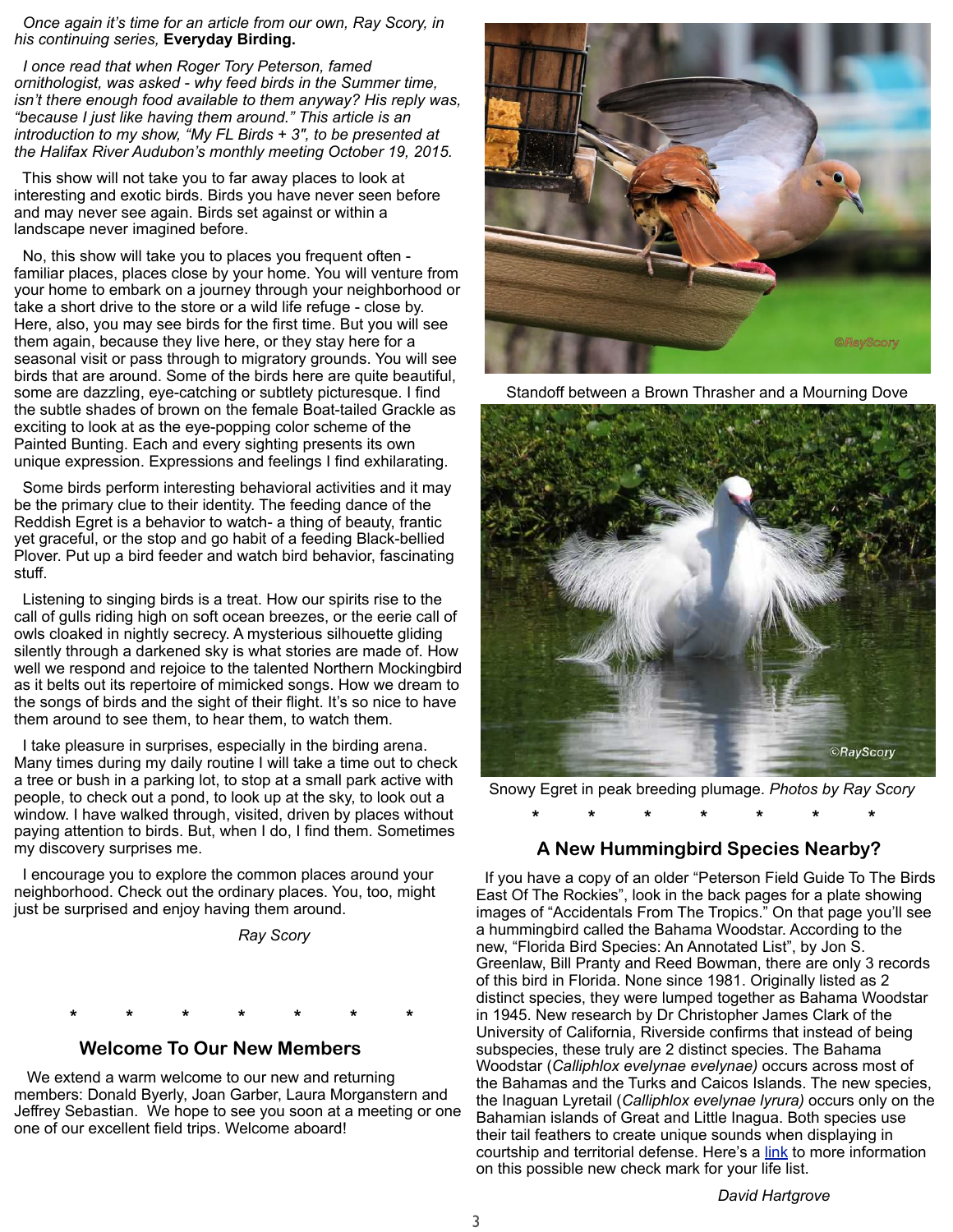*Once again it's time for an article from our own, Ray Scory, in his continuing series,* **Everyday Birding.**

 *I once read that when Roger Tory Peterson, famed ornithologist, was asked - why feed birds in the Summer time, isn't there enough food available to them anyway? His reply was, "because I just like having them around." This article is an introduction to my show, "My FL Birds + 3", to be presented at the Halifax River Audubon's monthly meeting October 19, 2015.*

 This show will not take you to far away places to look at interesting and exotic birds. Birds you have never seen before and may never see again. Birds set against or within a landscape never imagined before.

 No, this show will take you to places you frequent often familiar places, places close by your home. You will venture from your home to embark on a journey through your neighborhood or take a short drive to the store or a wild life refuge - close by. Here, also, you may see birds for the first time. But you will see them again, because they live here, or they stay here for a seasonal visit or pass through to migratory grounds. You will see birds that are around. Some of the birds here are quite beautiful, some are dazzling, eye-catching or subtlety picturesque. I find the subtle shades of brown on the female Boat-tailed Grackle as exciting to look at as the eye-popping color scheme of the Painted Bunting. Each and every sighting presents its own unique expression. Expressions and feelings I find exhilarating.

 Some birds perform interesting behavioral activities and it may be the primary clue to their identity. The feeding dance of the Reddish Egret is a behavior to watch- a thing of beauty, frantic yet graceful, or the stop and go habit of a feeding Black-bellied Plover. Put up a bird feeder and watch bird behavior, fascinating stuff.

 Listening to singing birds is a treat. How our spirits rise to the call of gulls riding high on soft ocean breezes, or the eerie call of owls cloaked in nightly secrecy. A mysterious silhouette gliding silently through a darkened sky is what stories are made of. How well we respond and rejoice to the talented Northern Mockingbird as it belts out its repertoire of mimicked songs. How we dream to the songs of birds and the sight of their flight. It's so nice to have them around to see them, to hear them, to watch them.

 I take pleasure in surprises, especially in the birding arena. Many times during my daily routine I will take a time out to check a tree or bush in a parking lot, to stop at a small park active with people, to check out a pond, to look up at the sky, to look out a window. I have walked through, visited, driven by places without paying attention to birds. But, when I do, I find them. Sometimes my discovery surprises me.

 I encourage you to explore the common places around your neighborhood. Check out the ordinary places. You, too, might just be surprised and enjoy having them around.

*Ray Scory*



 **Welcome To Our New Members**

 We extend a warm welcome to our new and returning members: Donald Byerly, Joan Garber, Laura Morganstern and Jeffrey Sebastian. We hope to see you soon at a meeting or one one of our excellent field trips. Welcome aboard!



Standoff between a Brown Thrasher and a Mourning Dove



Snowy Egret in peak breeding plumage. *Photos by Ray Scory*

 **\* \* \* \* \* \* \***

#### **A New Hummingbird Species Nearby?**

 If you have a copy of an older "Peterson Field Guide To The Birds East Of The Rockies", look in the back pages for a plate showing images of "Accidentals From The Tropics." On that page you'll see a hummingbird called the Bahama Woodstar. According to the new, "Florida Bird Species: An Annotated List", by Jon S. Greenlaw, Bill Pranty and Reed Bowman, there are only 3 records of this bird in Florida. None since 1981. Originally listed as 2 distinct species, they were lumped together as Bahama Woodstar in 1945. New research by Dr Christopher James Clark of the University of California, Riverside confirms that instead of being subspecies, these truly are 2 distinct species. The Bahama Woodstar (*Calliphlox evelynae evelynae)* occurs across most of the Bahamas and the Turks and Caicos Islands. The new species, the Inaguan Lyretail (*Calliphlox evelynae lyrura)* occurs only on the Bahamian islands of Great and Little Inagua. Both species use their tail feathers to create unique sounds when displaying in courtship and territorial defense. Here's a [link](http://phys.org/news/2015-02-species-hummingbird.html) to more information on this possible new check mark for your life list.

*David Hartgrove*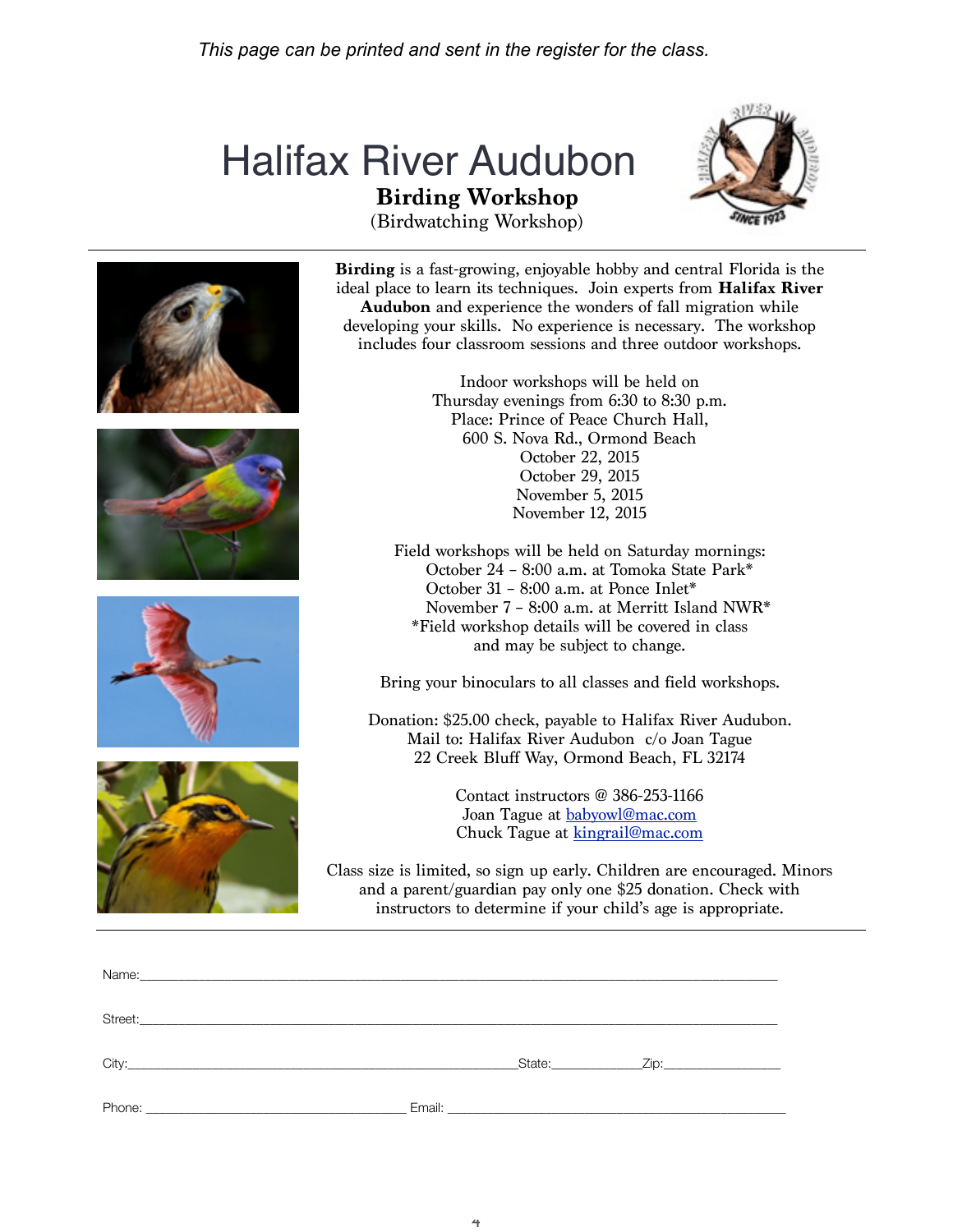# **Birding Workshop** Halifax River Audubon



(Birdwatching Workshop)









**Birding** is a fast-growing, enjoyable hobby and central Florida is the ideal place to learn its techniques. Join experts from **Halifax River Audubon** and experience the wonders of fall migration while developing your skills. No experience is necessary. The workshop includes four classroom sessions and three outdoor workshops.

> Indoor workshops will be held on Thursday evenings from 6:30 to 8:30 p.m. Place: Prince of Peace Church Hall, 600 S. Nova Rd., Ormond Beach October 22, 2015 October 29, 2015 November 5, 2015 November 12, 2015

Field workshops will be held on Saturday mornings: October 24 – 8:00 a.m. at Tomoka State Park\* October 31 – 8:00 a.m. at Ponce Inlet\* November 7 – 8:00 a.m. at Merritt Island NWR\* \*Field workshop details will be covered in class and may be subject to change.

Bring your binoculars to all classes and field workshops.

Donation: \$25.00 check, payable to Halifax River Audubon. Mail to: Halifax River Audubon c/o Joan Tague 22 Creek Bluff Way, Ormond Beach, FL 32174

> Contact instructors @ 386-253-1166 Joan Tague at babyowl@mac.com Chuck Tague at kingrail@mac.com

Class size is limited, so sign up early. Children are encouraged. Minors and a parent/guardian pay only one \$25 donation. Check with instructors to determine if your child's age is appropriate.

| Street:<br><u> 1989 - Jan James James, martin de la propincia de la propincia de la propincia de la propincia de la propinci</u> |        |                                                                                                                                                                                                                                |                                                                                                                                                                                                                                |
|----------------------------------------------------------------------------------------------------------------------------------|--------|--------------------------------------------------------------------------------------------------------------------------------------------------------------------------------------------------------------------------------|--------------------------------------------------------------------------------------------------------------------------------------------------------------------------------------------------------------------------------|
|                                                                                                                                  |        | State: The State of the State of the State of the State of the State of the State of the State of the State of the State of the State of the State of the State of the State of the State of the State of the State of the Sta | Zip: the contract of the contract of the contract of the contract of the contract of the contract of the contract of the contract of the contract of the contract of the contract of the contract of the contract of the contr |
| Phone:                                                                                                                           | Email: | the control of the control of the control of the control of the control of the control of                                                                                                                                      |                                                                                                                                                                                                                                |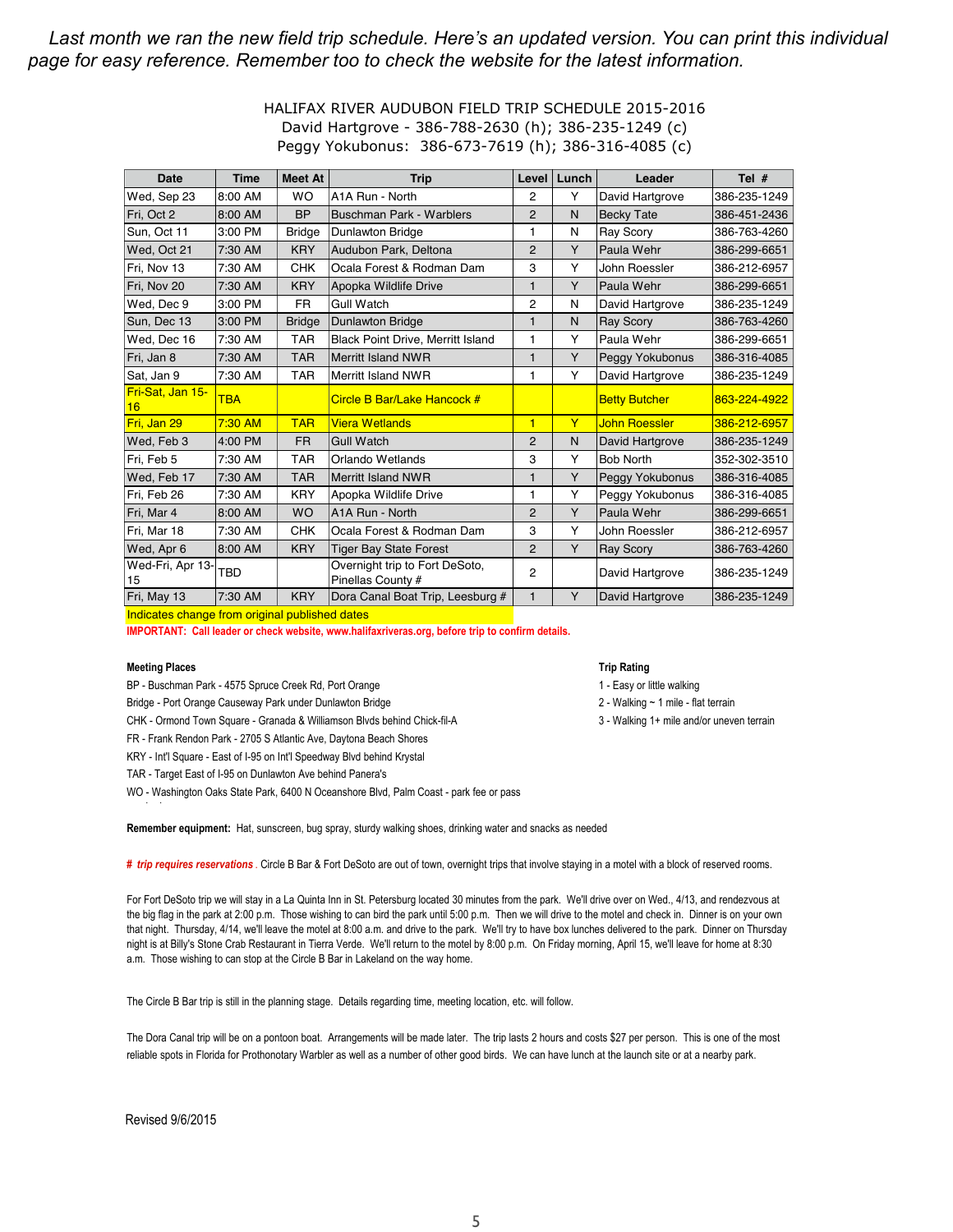#### Last month we ran the new field trip schedule. Here's an updated version. You can print this individual *page for easy reference. Remember too to check the website for the latest information.*

#### HALIFAX RIVER AUDUBON FIELD TRIP SCHEDULE 2015-2016 David Hartgrove - 386-788-2630 (h); 386-235-1249 (c) Peggy Yokubonus: 386-673-7619 (h); 386-316-4085 (c)

| <b>Date</b>            | <b>Time</b> | <b>Meet At</b> | <b>Trip</b>                                         | Level          | Lunch | Leader               | Tel $#$      |
|------------------------|-------------|----------------|-----------------------------------------------------|----------------|-------|----------------------|--------------|
| Wed, Sep 23            | 8:00 AM     | <b>WO</b>      | A1A Run - North                                     | 2              | Y     | David Hartgrove      | 386-235-1249 |
| Fri, Oct 2             | 8:00 AM     | <b>BP</b>      | <b>Buschman Park - Warblers</b>                     | $\overline{2}$ | N     | <b>Becky Tate</b>    | 386-451-2436 |
| Sun, Oct 11            | 3:00 PM     | <b>Bridge</b>  | <b>Dunlawton Bridge</b>                             | 1              | N     | <b>Ray Scory</b>     | 386-763-4260 |
| Wed, Oct 21            | 7:30 AM     | <b>KRY</b>     | Audubon Park, Deltona                               | $\overline{2}$ | Y     | Paula Wehr           | 386-299-6651 |
| Fri, Nov 13            | 7:30 AM     | <b>CHK</b>     | Ocala Forest & Rodman Dam                           | 3              | Y     | John Roessler        | 386-212-6957 |
| Fri, Nov 20            | 7:30 AM     | <b>KRY</b>     | Apopka Wildlife Drive<br>1                          |                | Y     | Paula Wehr           | 386-299-6651 |
| Wed, Dec 9             | 3:00 PM     | <b>FR</b>      | <b>Gull Watch</b>                                   | 2              | N     | David Hartgrove      | 386-235-1249 |
| Sun. Dec 13            | 3:00 PM     | <b>Bridge</b>  | <b>Dunlawton Bridge</b>                             | 1              | N     | <b>Ray Scory</b>     | 386-763-4260 |
| Wed, Dec 16            | 7:30 AM     | <b>TAR</b>     | <b>Black Point Drive, Merritt Island</b>            | 1              | Y     | Paula Wehr           | 386-299-6651 |
| Fri, Jan 8             | 7:30 AM     | <b>TAR</b>     | Merritt Island NWR                                  | 1              | Y     | Peggy Yokubonus      | 386-316-4085 |
| Sat, Jan 9             | 7:30 AM     | <b>TAR</b>     | Merritt Island NWR                                  | 1              | Y     | David Hartgrove      | 386-235-1249 |
| Fri-Sat, Jan 15-<br>16 | <b>TBA</b>  |                | Circle B Bar/Lake Hancock #                         |                |       | <b>Betty Butcher</b> | 863-224-4922 |
| Fri, Jan 29            | 7:30 AM     | <b>TAR</b>     | <b>Viera Wetlands</b>                               | $\blacksquare$ | Y     | <b>John Roessler</b> | 386-212-6957 |
| Wed, Feb 3             | 4:00 PM     | <b>FR</b>      | <b>Gull Watch</b>                                   | 2              | N     | David Hartgrove      | 386-235-1249 |
| Fri, Feb 5             | 7:30 AM     | <b>TAR</b>     | Orlando Wetlands                                    | 3              | Y     | <b>Bob North</b>     | 352-302-3510 |
| Wed, Feb 17            | 7:30 AM     | <b>TAR</b>     | <b>Merritt Island NWR</b>                           | 1              | Y     | Peggy Yokubonus      | 386-316-4085 |
| Fri, Feb 26            | 7:30 AM     | <b>KRY</b>     | Apopka Wildlife Drive                               | 1              | Y     | Peggy Yokubonus      | 386-316-4085 |
| Fri, Mar 4             | 8:00 AM     | <b>WO</b>      | A1A Run - North                                     | $\overline{2}$ | Y     | Paula Wehr           | 386-299-6651 |
| Fri, Mar 18            | 7:30 AM     | <b>CHK</b>     | Ocala Forest & Rodman Dam                           | 3              | Y     | John Roessler        | 386-212-6957 |
| Wed, Apr 6             | 8:00 AM     | <b>KRY</b>     | <b>Tiger Bay State Forest</b>                       | $\overline{2}$ | Y     | <b>Ray Scory</b>     | 386-763-4260 |
| Wed-Fri, Apr 13-<br>15 | <b>TBD</b>  |                | Overnight trip to Fort DeSoto,<br>Pinellas County # | $\overline{2}$ |       | David Hartgrove      | 386-235-1249 |
| Fri, May 13            | 7:30 AM     | <b>KRY</b>     | Dora Canal Boat Trip, Leesburg #                    | $\mathbf{1}$   | Y     | David Hartgrove      | 386-235-1249 |

Indicates change from original published dates

**IMPORTANT: Call leader or check website, www.halifaxriveras.org, before trip to confirm details.**

#### **Meeting Places**

- BP Buschman Park 4575 Spruce Creek Rd, Port Orange
- Bridge Port Orange Causeway Park under Dunlawton Bridge 2 Walking ~ 1 mile flat terrain

CHK - Ormond Town Square - Granada & Williamson Blvds behind Chick-fil-A

FR - Frank Rendon Park - 2705 S Atlantic Ave, Daytona Beach Shores

KRY - Int'l Square - East of I-95 on Int'l Speedway Blvd behind Krystal

TAR - Target East of I-95 on Dunlawton Ave behind Panera's

WO - Washington Oaks State Park, 6400 N Oceanshore Blvd, Palm Coast - park fee or pass

#### **Trip Rating**

1 - Easy or little walking

3 - Walking 1+ mile and/or uneven terrain

Remember equipment: Hat, sunscreen, bug spray, sturdy walking shoes, drinking water and snacks as needed

# *trip requires reservations* . Circle B Bar & Fort DeSoto are out of town, overnight trips that involve staying in a motel with a block of reserved rooms.

For Fort DeSoto trip we will stay in a La Quinta Inn in St. Petersburg located 30 minutes from the park. We'll drive over on Wed., 4/13, and rendezvous at the big flag in the park at 2:00 p.m. Those wishing to can bird the park until 5:00 p.m. Then we will drive to the motel and check in. Dinner is on your own that night. Thursday, 4/14, we'll leave the motel at 8:00 a.m. and drive to the park. We'll try to have box lunches delivered to the park. Dinner on Thursday night is at Billy's Stone Crab Restaurant in Tierra Verde. We'll return to the motel by 8:00 p.m. On Friday morning, April 15, we'll leave for home at 8:30 a.m. Those wishing to can stop at the Circle B Bar in Lakeland on the way home.

The Circle B Bar trip is still in the planning stage. Details regarding time, meeting location, etc. will follow.

The Dora Canal trip will be on a pontoon boat. Arrangements will be made later. The trip lasts 2 hours and costs \$27 per person. This is one of the most reliable spots in Florida for Prothonotary Warbler as well as a number of other good birds. We can have lunch at the launch site or at a nearby park.

Revised"9/6/2015